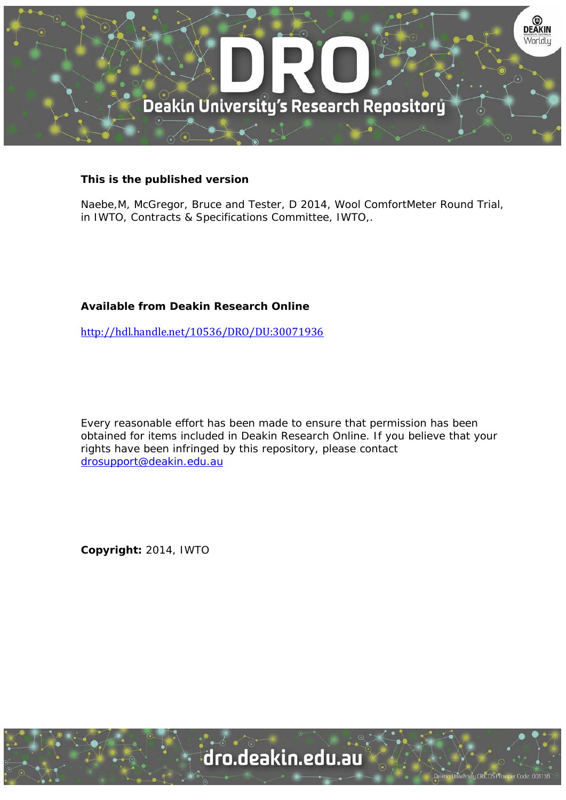

# **This is the published version**

Naebe,M, McGregor, Bruce and Tester, D 2014, Wool ComfortMeter Round Trial, in IWTO, Contracts & Specifications Committee, IWTO,.

# **Available from Deakin Research Online**

http://hdl.handle.net/10536/DRO/DU:30071936

Every reasonable effort has been made to ensure that permission has been obtained for items included in Deakin Research Online. If you believe that your rights have been infringed by this repository, please contact drosupport@deakin.edu.au

**Copyright:** 2014, IWTO

University CRICOS Provider Code: 00113B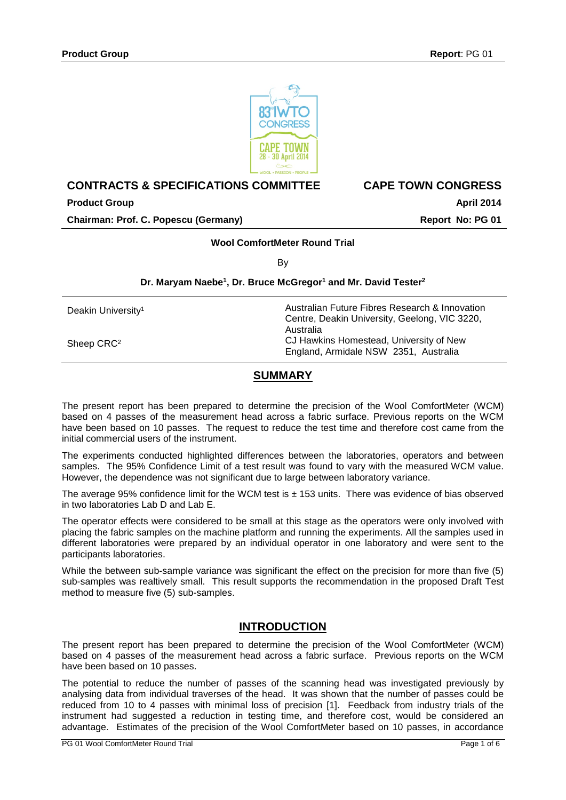

# **CONTRACTS & SPECIFICATIONS COMMITTEE CAPE TOWN CONGRESS**

**Product Group April 2014 Chairman: Prof. C. Popescu (Germany) Report No: PG 01**

## **Wool ComfortMeter Round Trial**

By

## **Dr. Maryam Naebe1, Dr. Bruce McGregor1 and Mr. David Tester2**

| Deakin University <sup>1</sup> | Australian Future Fibres Research & Innovation<br>Centre, Deakin University, Geelong, VIC 3220, |  |  |
|--------------------------------|-------------------------------------------------------------------------------------------------|--|--|
| Sheep CRC <sup>2</sup>         | Australia<br>CJ Hawkins Homestead, University of New<br>England, Armidale NSW 2351, Australia   |  |  |

# **SUMMARY**

The present report has been prepared to determine the precision of the Wool ComfortMeter (WCM) based on 4 passes of the measurement head across a fabric surface. Previous reports on the WCM have been based on 10 passes. The request to reduce the test time and therefore cost came from the initial commercial users of the instrument.

The experiments conducted highlighted differences between the laboratories, operators and between samples. The 95% Confidence Limit of a test result was found to vary with the measured WCM value. However, the dependence was not significant due to large between laboratory variance.

The average 95% confidence limit for the WCM test is  $\pm$  153 units. There was evidence of bias observed in two laboratories Lab D and Lab E.

The operator effects were considered to be small at this stage as the operators were only involved with placing the fabric samples on the machine platform and running the experiments. All the samples used in different laboratories were prepared by an individual operator in one laboratory and were sent to the participants laboratories.

While the between sub-sample variance was significant the effect on the precision for more than five (5) sub-samples was realtively small. This result supports the recommendation in the proposed Draft Test method to measure five (5) sub-samples.

## **INTRODUCTION**

The present report has been prepared to determine the precision of the Wool ComfortMeter (WCM) based on 4 passes of the measurement head across a fabric surface. Previous reports on the WCM have been based on 10 passes.

The potential to reduce the number of passes of the scanning head was investigated previously by analysing data from individual traverses of the head. It was shown that the number of passes could be reduced from 10 to 4 passes with minimal loss of precision [1]. Feedback from industry trials of the instrument had suggested a reduction in testing time, and therefore cost, would be considered an advantage. Estimates of the precision of the Wool ComfortMeter based on 10 passes, in accordance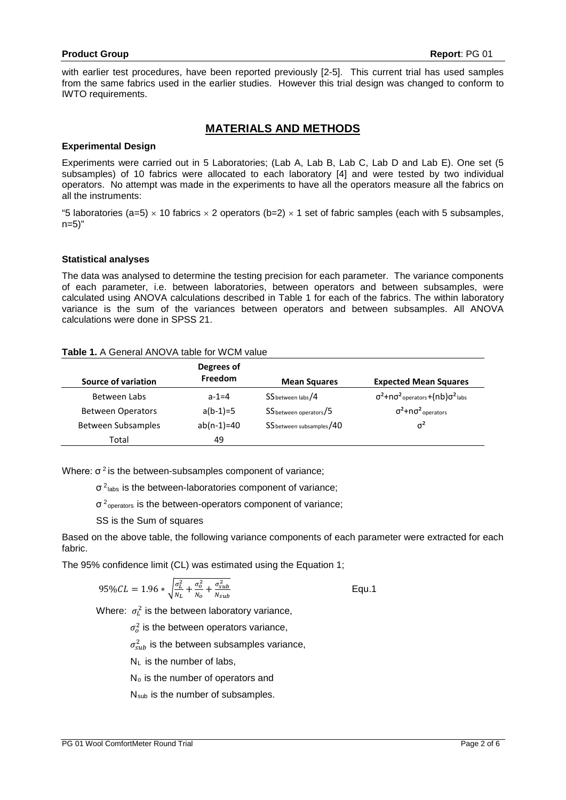with earlier test procedures, have been reported previously [2-5]. This current trial has used samples from the same fabrics used in the earlier studies. However this trial design was changed to conform to IWTO requirements.

# **MATERIALS AND METHODS**

#### **Experimental Design**

Experiments were carried out in 5 Laboratories; (Lab A, Lab B, Lab C, Lab D and Lab E). One set (5 subsamples) of 10 fabrics were allocated to each laboratory [4] and were tested by two individual operators. No attempt was made in the experiments to have all the operators measure all the fabrics on all the instruments:

"5 laboratories (a=5)  $\times$  10 fabrics  $\times$  2 operators (b=2)  $\times$  1 set of fabric samples (each with 5 subsamples, n=5)"

#### **Statistical analyses**

The data was analysed to determine the testing precision for each parameter. The variance components of each parameter, i.e. between laboratories, between operators and between subsamples, were calculated using ANOVA calculations described in Table 1 for each of the fabrics. The within laboratory variance is the sum of the variances between operators and between subsamples. All ANOVA calculations were done in SPSS 21.

#### **Table 1.** A General ANOVA table for WCM value

| Source of variation      | Degrees of<br>Freedom | <b>Mean Squares</b>      | <b>Expected Mean Squares</b>                                                   |
|--------------------------|-----------------------|--------------------------|--------------------------------------------------------------------------------|
| Between Labs             | $a-1=4$               | SS between labs/4        | $\sigma^2$ +n $\sigma^2$ <sub>operators</sub> +(nb) $\sigma^2$ <sub>labs</sub> |
| <b>Between Operators</b> | $a(b-1)=5$            | SS between operators/5   | $\sigma^2$ +n $\sigma^2$ <sub>operators</sub>                                  |
| Between Subsamples       | $ab(n-1)=40$          | SS between subsamples/40 | $\sigma^2$                                                                     |
| Total                    | 49                    |                          |                                                                                |

Where:  $\sigma^2$  is the between-subsamples component of variance;

σ 2labs is the between-laboratories component of variance;

 $\sigma$ <sup>2</sup><sub>operators</sub> is the between-operators component of variance;

SS is the Sum of squares

Based on the above table, the following variance components of each parameter were extracted for each fabric.

The 95% confidence limit (CL) was estimated using the Equation 1;

$$
95\%CL = 1.96 * \sqrt{\frac{\sigma_L^2}{N_L} + \frac{\sigma_o^2}{N_o} + \frac{\sigma_{sub}^2}{N_{sub}}}
$$
 Equ.1

Where:  $\sigma_L^2$  is the between laboratory variance,

 $\sigma_o^2$  is the between operators variance,

 $\sigma_{sub}^2$  is the between subsamples variance,

 $N_{\perp}$  is the number of labs.

No is the number of operators and

Nsub is the number of subsamples.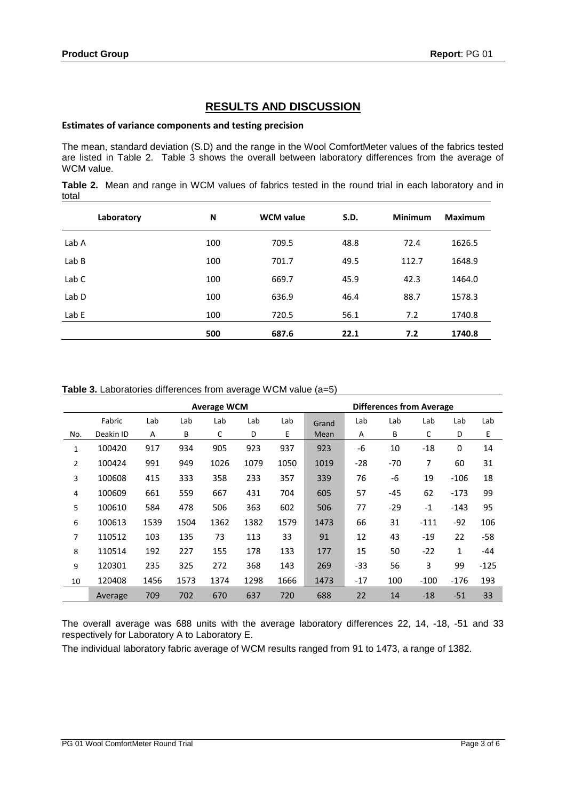# **RESULTS AND DISCUSSION**

# **Estimates of variance components and testing precision**

The mean, standard deviation (S.D) and the range in the Wool ComfortMeter values of the fabrics tested are listed in Table 2. Table 3 shows the overall between laboratory differences from the average of WCM value.

**Table 2.** Mean and range in WCM values of fabrics tested in the round trial in each laboratory and in total

| Laboratory       | N   | <b>WCM</b> value | S.D. | <b>Minimum</b> | <b>Maximum</b> |
|------------------|-----|------------------|------|----------------|----------------|
| Lab A            | 100 | 709.5            | 48.8 | 72.4           | 1626.5         |
| Lab B            | 100 | 701.7            | 49.5 | 112.7          | 1648.9         |
| Lab C            | 100 | 669.7            | 45.9 | 42.3           | 1464.0         |
| Lab <sub>D</sub> | 100 | 636.9            | 46.4 | 88.7           | 1578.3         |
| Lab E            | 100 | 720.5            | 56.1 | 7.2            | 1740.8         |
|                  | 500 | 687.6            | 22.1 | 7.2            | 1740.8         |

| <b>Average WCM</b> |           |      |      |      |      |      |       | <b>Differences from Average</b> |       |        |              |        |
|--------------------|-----------|------|------|------|------|------|-------|---------------------------------|-------|--------|--------------|--------|
|                    | Fabric    | Lab  | Lab  | Lab  | Lab  | Lab  | Grand | Lab                             | Lab   | Lab    | Lab          | Lab    |
| No.                | Deakin ID | A    | B    | C    | D    | Е    | Mean  | A                               | B     | С      | D            | Е      |
| 1                  | 100420    | 917  | 934  | 905  | 923  | 937  | 923   | -6                              | 10    | $-18$  | $\mathbf 0$  | 14     |
| $\overline{2}$     | 100424    | 991  | 949  | 1026 | 1079 | 1050 | 1019  | $-28$                           | $-70$ | 7      | 60           | 31     |
| 3                  | 100608    | 415  | 333  | 358  | 233  | 357  | 339   | 76                              | -6    | 19     | $-106$       | 18     |
| 4                  | 100609    | 661  | 559  | 667  | 431  | 704  | 605   | 57                              | $-45$ | 62     | $-173$       | 99     |
| 5                  | 100610    | 584  | 478  | 506  | 363  | 602  | 506   | 77                              | $-29$ | $-1$   | $-143$       | 95     |
| 6                  | 100613    | 1539 | 1504 | 1362 | 1382 | 1579 | 1473  | 66                              | 31    | $-111$ | $-92$        | 106    |
| 7                  | 110512    | 103  | 135  | 73   | 113  | 33   | 91    | 12                              | 43    | $-19$  | 22           | $-58$  |
| 8                  | 110514    | 192  | 227  | 155  | 178  | 133  | 177   | 15                              | 50    | $-22$  | $\mathbf{1}$ | -44    |
| 9                  | 120301    | 235  | 325  | 272  | 368  | 143  | 269   | $-33$                           | 56    | 3      | 99           | $-125$ |
| 10                 | 120408    | 1456 | 1573 | 1374 | 1298 | 1666 | 1473  | $-17$                           | 100   | $-100$ | $-176$       | 193    |
|                    | Average   | 709  | 702  | 670  | 637  | 720  | 688   | 22                              | 14    | $-18$  | $-51$        | 33     |

The overall average was 688 units with the average laboratory differences 22, 14, -18, -51 and 33 respectively for Laboratory A to Laboratory E.

The individual laboratory fabric average of WCM results ranged from 91 to 1473, a range of 1382.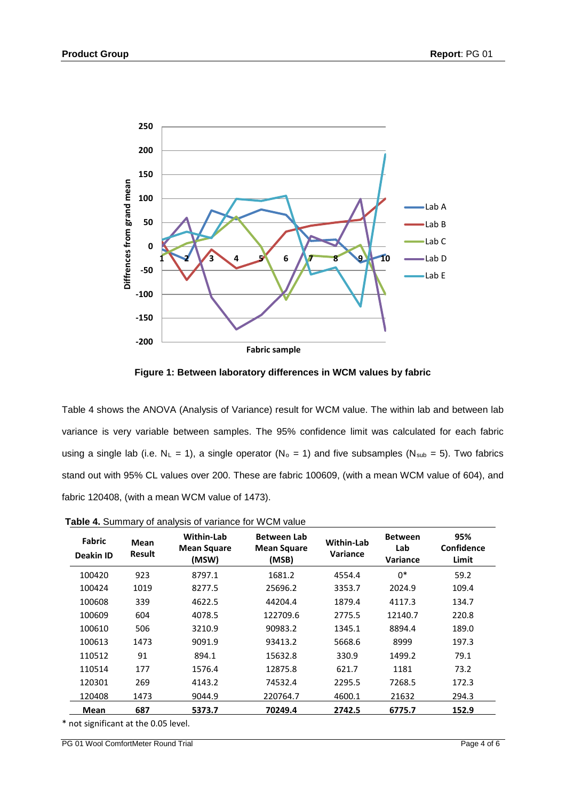

**Figure 1: Between laboratory differences in WCM values by fabric**

Table 4 shows the ANOVA (Analysis of Variance) result for WCM value. The within lab and between lab variance is very variable between samples. The 95% confidence limit was calculated for each fabric using a single lab (i.e.  $N_L = 1$ ), a single operator ( $N_o = 1$ ) and five subsamples ( $N_{sub} = 5$ ). Two fabrics stand out with 95% CL values over 200. These are fabric 100609, (with a mean WCM value of 604), and fabric 120408, (with a mean WCM value of 1473).

| <b>Fabric</b><br><b>Deakin ID</b> | Mean<br>Result | Within-Lab<br><b>Mean Square</b><br>(MSW) | <b>Between Lab</b><br><b>Mean Square</b><br>(MSB) | <b>Within-Lab</b><br>Variance | <b>Between</b><br>Lab<br>Variance | 95%<br><b>Confidence</b><br>Limit |
|-----------------------------------|----------------|-------------------------------------------|---------------------------------------------------|-------------------------------|-----------------------------------|-----------------------------------|
| 100420                            | 923            | 8797.1                                    | 1681.2                                            | 4554.4                        | $0^*$                             | 59.2                              |
| 100424                            | 1019           | 8277.5                                    | 25696.2                                           | 3353.7                        | 2024.9                            | 109.4                             |
| 100608                            | 339            | 4622.5                                    | 44204.4                                           | 1879.4                        | 4117.3                            | 134.7                             |
| 100609                            | 604            | 4078.5                                    | 122709.6                                          | 2775.5                        | 12140.7                           | 220.8                             |
| 100610                            | 506            | 3210.9                                    | 90983.2                                           | 1345.1                        | 8894.4                            | 189.0                             |
| 100613                            | 1473           | 9091.9                                    | 93413.2                                           | 5668.6                        | 8999                              | 197.3                             |
| 110512                            | 91             | 894.1                                     | 15632.8                                           | 330.9                         | 1499.2                            | 79.1                              |
| 110514                            | 177            | 1576.4                                    | 12875.8                                           | 621.7                         | 1181                              | 73.2                              |
| 120301                            | 269            | 4143.2                                    | 74532.4                                           | 2295.5                        | 7268.5                            | 172.3                             |
| 120408                            | 1473           | 9044.9                                    | 220764.7                                          | 4600.1                        | 21632                             | 294.3                             |
| Mean                              | 687            | 5373.7                                    | 70249.4                                           | 2742.5                        | 6775.7                            | 152.9                             |

| <b>Table 4.</b> Summary of analysis of variance for WCM value |  |  |
|---------------------------------------------------------------|--|--|
|---------------------------------------------------------------|--|--|

\* not significant at the 0.05 level.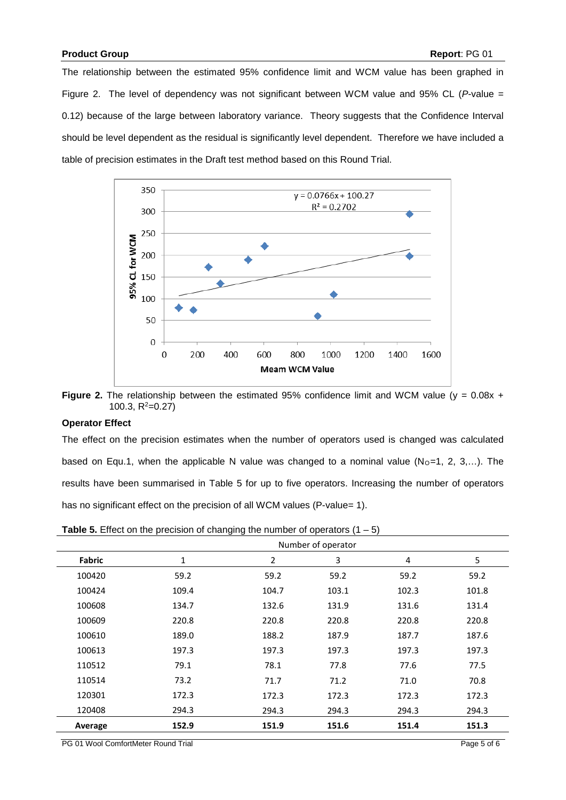The relationship between the estimated 95% confidence limit and WCM value has been graphed in Figure 2. The level of dependency was not significant between WCM value and 95% CL (*P*-value = 0.12) because of the large between laboratory variance. Theory suggests that the Confidence Interval should be level dependent as the residual is significantly level dependent. Therefore we have included a table of precision estimates in the Draft test method based on this Round Trial.



**Figure 2.** The relationship between the estimated 95% confidence limit and WCM value (y = 0.08x + 100.3, R<sup>2</sup>=0.27)

#### **Operator Effect**

The effect on the precision estimates when the number of operators used is changed was calculated based on Equ.1, when the applicable N value was changed to a nominal value ( $No=1$ , 2, 3,...). The results have been summarised in Table 5 for up to five operators. Increasing the number of operators has no significant effect on the precision of all WCM values (P-value= 1).

|               | Number of operator |                |       |       |       |  |  |  |
|---------------|--------------------|----------------|-------|-------|-------|--|--|--|
| <b>Fabric</b> | 1                  | $\overline{2}$ | 3     | 4     | 5     |  |  |  |
| 100420        | 59.2               | 59.2           | 59.2  | 59.2  | 59.2  |  |  |  |
| 100424        | 109.4              | 104.7          | 103.1 | 102.3 | 101.8 |  |  |  |
| 100608        | 134.7              | 132.6          | 131.9 | 131.6 | 131.4 |  |  |  |
| 100609        | 220.8              | 220.8          | 220.8 | 220.8 | 220.8 |  |  |  |
| 100610        | 189.0              | 188.2          | 187.9 | 187.7 | 187.6 |  |  |  |
| 100613        | 197.3              | 197.3          | 197.3 | 197.3 | 197.3 |  |  |  |
| 110512        | 79.1               | 78.1           | 77.8  | 77.6  | 77.5  |  |  |  |
| 110514        | 73.2               | 71.7           | 71.2  | 71.0  | 70.8  |  |  |  |
| 120301        | 172.3              | 172.3          | 172.3 | 172.3 | 172.3 |  |  |  |
| 120408        | 294.3              | 294.3          | 294.3 | 294.3 | 294.3 |  |  |  |
| Average       | 152.9              | 151.9          | 151.6 | 151.4 | 151.3 |  |  |  |

PG 01 Wool ComfortMeter Round Trial Page 5 of 6